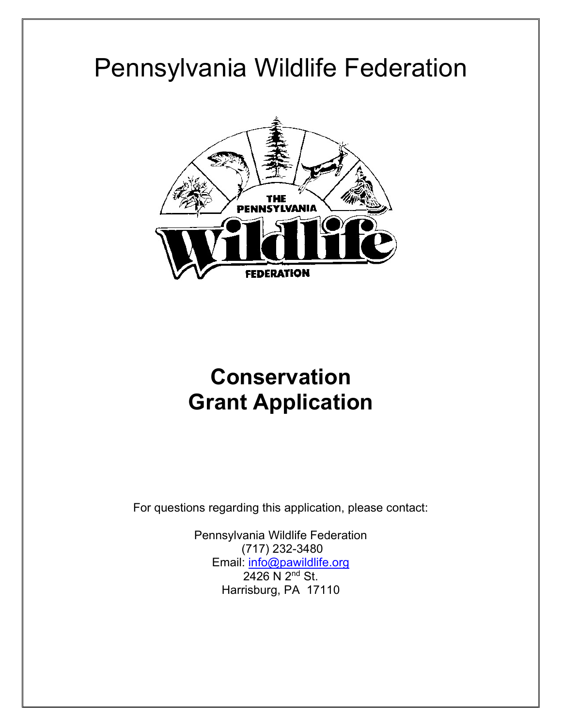# Pennsylvania Wildlife Federation



# **Conservation Grant Application**

For questions regarding this application, please contact:

Pennsylvania Wildlife Federation (717) 232-3480 Email: [info@pawildlife.org](mailto:info@pawildlife.org) 2426 N 2<sup>nd</sup> St. Harrisburg, PA 17110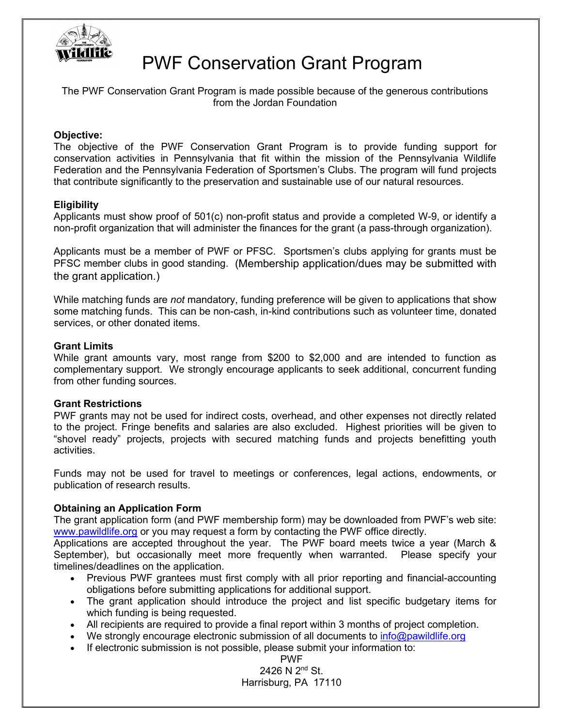

## PWF Conservation Grant Program

The PWF Conservation Grant Program is made possible because of the generous contributions from the Jordan Foundation

#### **Objective:**

The objective of the PWF Conservation Grant Program is to provide funding support for conservation activities in Pennsylvania that fit within the mission of the Pennsylvania Wildlife Federation and the Pennsylvania Federation of Sportsmen's Clubs. The program will fund projects that contribute significantly to the preservation and sustainable use of our natural resources.

#### **Eligibility**

Applicants must show proof of 501(c) non-profit status and provide a completed W-9, or identify a non-profit organization that will administer the finances for the grant (a pass-through organization).

Applicants must be a member of PWF or PFSC. Sportsmen's clubs applying for grants must be PFSC member clubs in good standing. (Membership application/dues may be submitted with the grant application.)

While matching funds are *not* mandatory, funding preference will be given to applications that show some matching funds. This can be non-cash, in-kind contributions such as volunteer time, donated services, or other donated items.

#### **Grant Limits**

While grant amounts vary, most range from \$200 to \$2,000 and are intended to function as complementary support. We strongly encourage applicants to seek additional, concurrent funding from other funding sources.

#### **Grant Restrictions**

PWF grants may not be used for indirect costs, overhead, and other expenses not directly related to the project. Fringe benefits and salaries are also excluded. Highest priorities will be given to "shovel ready" projects, projects with secured matching funds and projects benefitting youth activities.

Funds may not be used for travel to meetings or conferences, legal actions, endowments, or publication of research results.

#### **Obtaining an Application Form**

The grant application form (and PWF membership form) may be downloaded from PWF's web site: [www.pawildlife.org](http://www.pawildlife.org/) or you may request a form by contacting the PWF office directly.

Applications are accepted throughout the year. The PWF board meets twice a year (March & September), but occasionally meet more frequently when warranted. Please specify your timelines/deadlines on the application.

- Previous PWF grantees must first comply with all prior reporting and financial-accounting obligations before submitting applications for additional support.
- The grant application should introduce the project and list specific budgetary items for which funding is being requested.
- All recipients are required to provide a final report within 3 months of project completion.
- We strongly encourage electronic submission of all documents to [info@pawildlife.org](mailto:info@pawildlife.org)
- If electronic submission is not possible, please submit your information to:

PWF 2426 N 2nd St. Harrisburg, PA 17110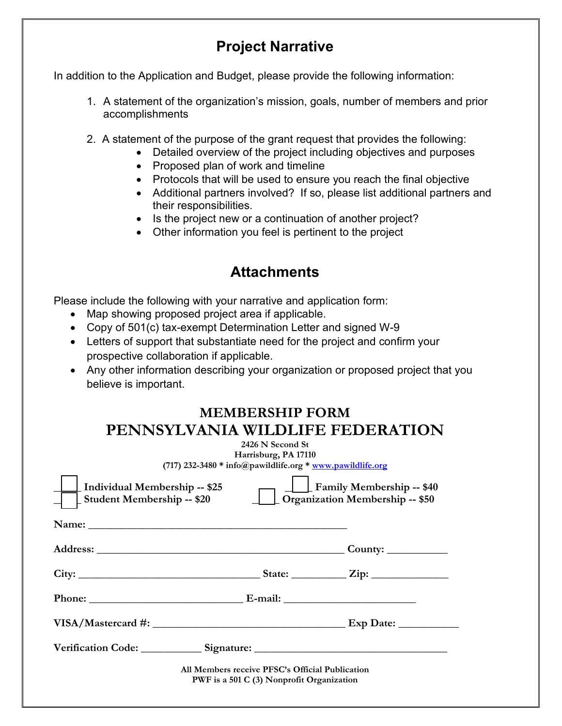## **Project Narrative**

In addition to the Application and Budget, please provide the following information:

- 1. A statement of the organization's mission, goals, number of members and prior accomplishments
- 2. A statement of the purpose of the grant request that provides the following:
	- Detailed overview of the project including objectives and purposes
	- Proposed plan of work and timeline
	- Protocols that will be used to ensure you reach the final objective
	- Additional partners involved? If so, please list additional partners and their responsibilities.
	- Is the project new or a continuation of another project?
	- Other information you feel is pertinent to the project

## **Attachments**

Please include the following with your narrative and application form:

- Map showing proposed project area if applicable.
- Copy of 501(c) tax-exempt Determination Letter and signed W-9
- Letters of support that substantiate need for the project and confirm your prospective collaboration if applicable.
- Any other information describing your organization or proposed project that you believe is important.

| <b>MEMBERSHIP FORM</b>           |
|----------------------------------|
| PENNSYLVANIA WILDLIFE FEDERATION |

|                                                                    | 2426 N Second St<br>Harrisburg, PA 17110<br>(717) 232-3480 * info@pawildlife.org * www.pawildlife.org |                                                                            |
|--------------------------------------------------------------------|-------------------------------------------------------------------------------------------------------|----------------------------------------------------------------------------|
| Individual Membership -- \$25<br><b>Student Membership -- \$20</b> |                                                                                                       | <b>Family Membership -- \$40</b><br><b>Organization Membership -- \$50</b> |
|                                                                    |                                                                                                       |                                                                            |
|                                                                    |                                                                                                       | County: $\_\_\_\_\_\_\_\_\_\_\_\_\_\_$                                     |
|                                                                    |                                                                                                       |                                                                            |
|                                                                    |                                                                                                       |                                                                            |
|                                                                    |                                                                                                       |                                                                            |
|                                                                    |                                                                                                       |                                                                            |
|                                                                    | All Members receive PFSC's Official Publication<br>PWF is a 501 C (3) Nonprofit Organization          |                                                                            |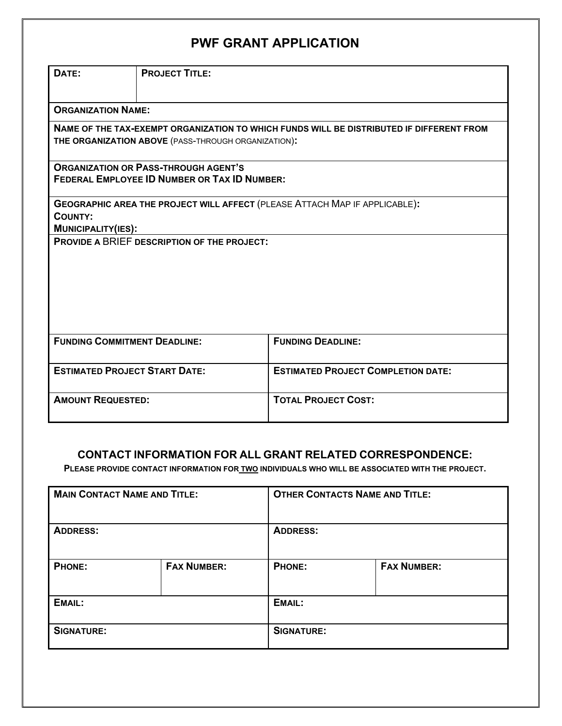## **PWF GRANT APPLICATION**

| DATE:                                                                                              | <b>PROJECT TITLE:</b>                               |                                                                                          |  |
|----------------------------------------------------------------------------------------------------|-----------------------------------------------------|------------------------------------------------------------------------------------------|--|
| <b>ORGANIZATION NAME:</b>                                                                          |                                                     |                                                                                          |  |
|                                                                                                    |                                                     | NAME OF THE TAX-EXEMPT ORGANIZATION TO WHICH FUNDS WILL BE DISTRIBUTED IF DIFFERENT FROM |  |
|                                                                                                    | THE ORGANIZATION ABOVE (PASS-THROUGH ORGANIZATION): |                                                                                          |  |
| <b>ORGANIZATION OR PASS-THROUGH AGENT'S</b><br><b>FEDERAL EMPLOYEE ID NUMBER OR TAX ID NUMBER:</b> |                                                     |                                                                                          |  |
|                                                                                                    |                                                     | GEOGRAPHIC AREA THE PROJECT WILL AFFECT (PLEASE ATTACH MAP IF APPLICABLE):               |  |
| <b>COUNTY:</b>                                                                                     |                                                     |                                                                                          |  |
| <b>MUNICIPALITY(IES):</b>                                                                          |                                                     |                                                                                          |  |
| <b>PROVIDE A BRIEF DESCRIPTION OF THE PROJECT:</b>                                                 |                                                     |                                                                                          |  |
| <b>FUNDING COMMITMENT DEADLINE:</b>                                                                |                                                     | <b>FUNDING DEADLINE:</b>                                                                 |  |
| <b>ESTIMATED PROJECT START DATE:</b>                                                               |                                                     | <b>ESTIMATED PROJECT COMPLETION DATE:</b>                                                |  |
| <b>AMOUNT REQUESTED:</b>                                                                           |                                                     | <b>TOTAL PROJECT COST:</b>                                                               |  |

#### **CONTACT INFORMATION FOR ALL GRANT RELATED CORRESPONDENCE:**

**PLEASE PROVIDE CONTACT INFORMATION FOR TWO INDIVIDUALS WHO WILL BE ASSOCIATED WITH THE PROJECT.**

| <b>MAIN CONTACT NAME AND TITLE:</b> |                    | <b>OTHER CONTACTS NAME AND TITLE:</b> |                    |  |
|-------------------------------------|--------------------|---------------------------------------|--------------------|--|
| <b>ADDRESS:</b>                     |                    | <b>ADDRESS:</b>                       |                    |  |
| <b>PHONE:</b>                       | <b>FAX NUMBER:</b> | <b>PHONE:</b>                         | <b>FAX NUMBER:</b> |  |
| EMAIL:                              |                    | EMAIL:                                |                    |  |
| <b>SIGNATURE:</b>                   |                    | <b>SIGNATURE:</b>                     |                    |  |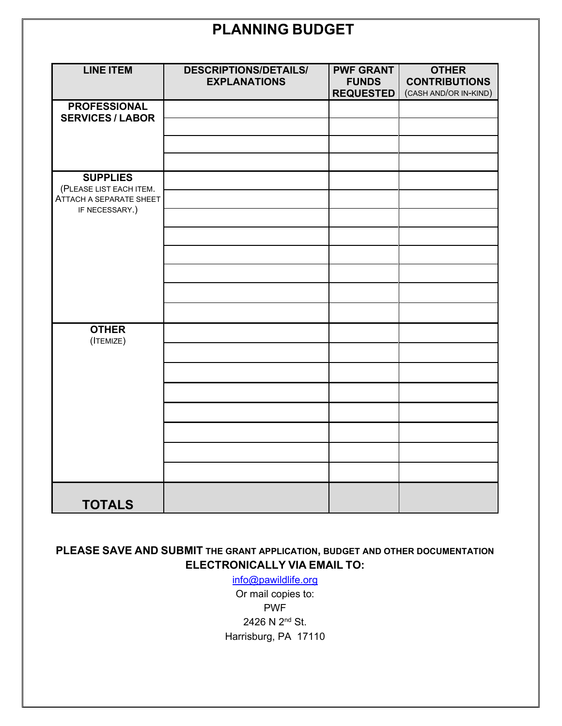## **PLANNING BUDGET**

| <b>LINE ITEM</b>                          | <b>DESCRIPTIONS/DETAILS/</b><br><b>EXPLANATIONS</b> | <b>PWF GRANT</b><br><b>FUNDS</b> | <b>OTHER</b><br><b>CONTRIBUTIONS</b> |
|-------------------------------------------|-----------------------------------------------------|----------------------------------|--------------------------------------|
|                                           |                                                     | <b>REQUESTED</b>                 | (CASH AND/OR IN-KIND)                |
| <b>PROFESSIONAL</b>                       |                                                     |                                  |                                      |
| <b>SERVICES / LABOR</b>                   |                                                     |                                  |                                      |
|                                           |                                                     |                                  |                                      |
|                                           |                                                     |                                  |                                      |
|                                           |                                                     |                                  |                                      |
| <b>SUPPLIES</b>                           |                                                     |                                  |                                      |
| (PLEASE LIST EACH ITEM.                   |                                                     |                                  |                                      |
| ATTACH A SEPARATE SHEET<br>IF NECESSARY.) |                                                     |                                  |                                      |
|                                           |                                                     |                                  |                                      |
|                                           |                                                     |                                  |                                      |
|                                           |                                                     |                                  |                                      |
|                                           |                                                     |                                  |                                      |
|                                           |                                                     |                                  |                                      |
|                                           |                                                     |                                  |                                      |
| <b>OTHER</b><br>(ITEMIZE)                 |                                                     |                                  |                                      |
|                                           |                                                     |                                  |                                      |
|                                           |                                                     |                                  |                                      |
|                                           |                                                     |                                  |                                      |
|                                           |                                                     |                                  |                                      |
|                                           |                                                     |                                  |                                      |
|                                           |                                                     |                                  |                                      |
|                                           |                                                     |                                  |                                      |
|                                           |                                                     |                                  |                                      |
| <b>TOTALS</b>                             |                                                     |                                  |                                      |

### **PLEASE SAVE AND SUBMIT THE GRANT APPLICATION, BUDGET AND OTHER DOCUMENTATION ELECTRONICALLY VIA EMAIL TO:**

[info@pawildlife.org](mailto:info@pawildlife.org)

Or mail copies to: PWF 2426 N 2nd St. Harrisburg, PA 17110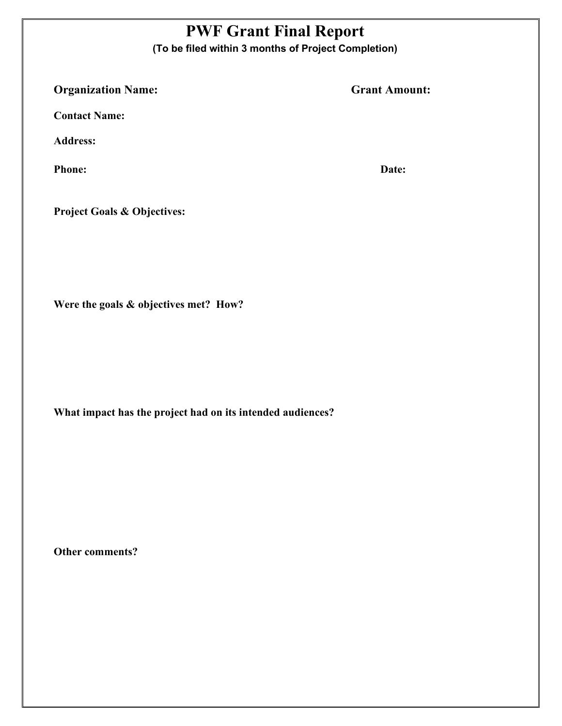## **PWF Grant Final Report**

**(To be filed within 3 months of Project Completion)**

**Organization Name:** Grant Amount:

**Contact Name:** 

**Address:** 

**Phone: Date:**

**Project Goals & Objectives:**

**Were the goals & objectives met? How?** 

**What impact has the project had on its intended audiences?** 

**Other comments?**